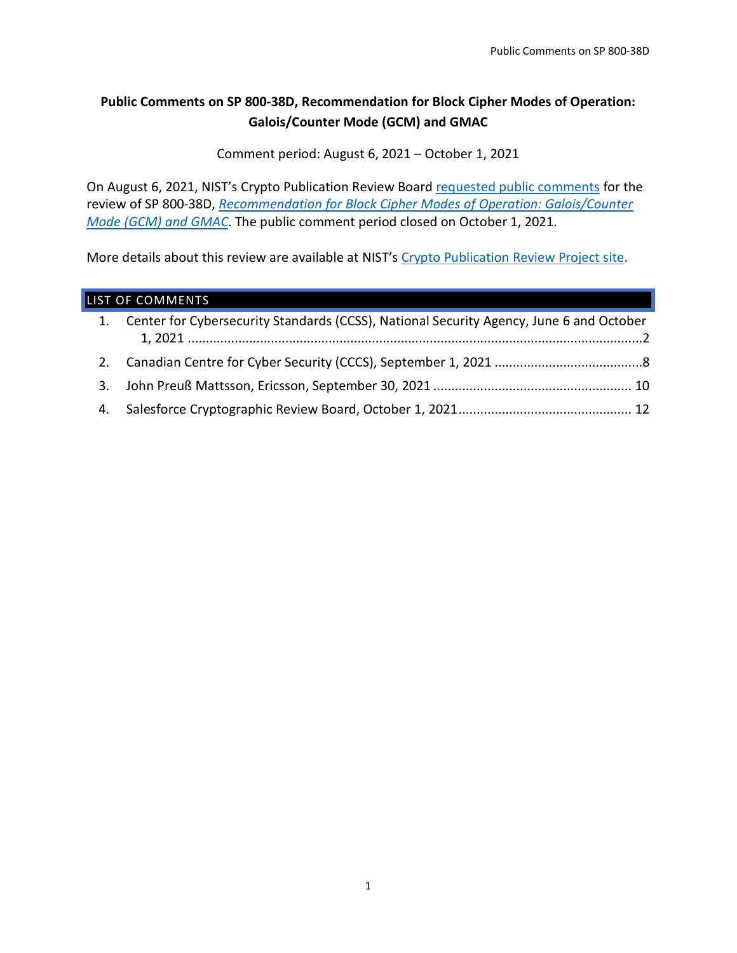# **Public Comments on SP 800-38D, Recommendation for Block Cipher Modes of Operation: Galois/Counter Mode (GCM) and GMAC**

Comment period: August 6, 2021 – October 1, 2021

On August 6, 2021, NIST's Crypto Publication Review Board [requested public comments](https://csrc.nist.gov/News/2021/call-for-comments-fips-198-1-hash-pubs-and-others) for the review of SP 800-38D, *[Recommendation for Block Cipher Modes of Operation: Galois/Counter](https://csrc.nist.gov/publications/detail/sp/800-38d/final)  [Mode \(GCM\) and GMAC](https://csrc.nist.gov/publications/detail/sp/800-38d/final)*. The public comment period closed on October 1, 2021.

More details about this review are available at NIST's [Crypto Publication Review Project site.](https://csrc.nist.gov/Projects/crypto-publication-review-project)

## LIST OF COMMENTS

| 1. Center for Cybersecurity Standards (CCSS), National Security Agency, June 6 and October |
|--------------------------------------------------------------------------------------------|
|                                                                                            |
|                                                                                            |
|                                                                                            |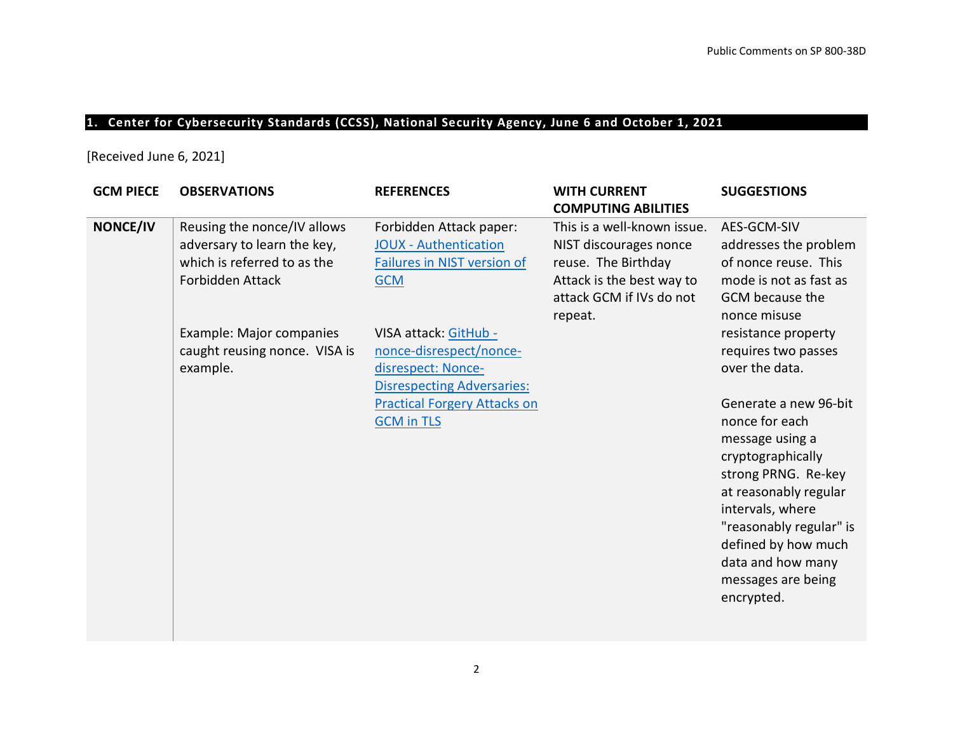# **1. Center for Cybersecurity Standards (CCSS), National Security Agency, June 6 and October 1, 2021**

[Received June 6, 2021]

<span id="page-1-0"></span>

| <b>GCM PIECE</b> | <b>OBSERVATIONS</b>                                                                                           | <b>REFERENCES</b>                                                                                           | <b>WITH CURRENT</b><br><b>COMPUTING ABILITIES</b>                                                                                                | <b>SUGGESTIONS</b>                                                                                                                                                                                                                                             |
|------------------|---------------------------------------------------------------------------------------------------------------|-------------------------------------------------------------------------------------------------------------|--------------------------------------------------------------------------------------------------------------------------------------------------|----------------------------------------------------------------------------------------------------------------------------------------------------------------------------------------------------------------------------------------------------------------|
| <b>NONCE/IV</b>  | Reusing the nonce/IV allows<br>adversary to learn the key,<br>which is referred to as the<br>Forbidden Attack | Forbidden Attack paper:<br><b>JOUX</b> - Authentication<br>Failures in NIST version of<br><b>GCM</b>        | This is a well-known issue.<br>NIST discourages nonce<br>reuse. The Birthday<br>Attack is the best way to<br>attack GCM if IVs do not<br>repeat. | AES-GCM-SIV<br>addresses the problem<br>of nonce reuse. This<br>mode is not as fast as<br><b>GCM</b> because the<br>nonce misuse                                                                                                                               |
|                  | Example: Major companies<br>caught reusing nonce. VISA is<br>example.                                         | VISA attack: GitHub -<br>nonce-disrespect/nonce-<br>disrespect: Nonce-<br><b>Disrespecting Adversaries:</b> |                                                                                                                                                  | resistance property<br>requires two passes<br>over the data.                                                                                                                                                                                                   |
|                  |                                                                                                               | <b>Practical Forgery Attacks on</b><br><b>GCM in TLS</b>                                                    |                                                                                                                                                  | Generate a new 96-bit<br>nonce for each<br>message using a<br>cryptographically<br>strong PRNG. Re-key<br>at reasonably regular<br>intervals, where<br>"reasonably regular" is<br>defined by how much<br>data and how many<br>messages are being<br>encrypted. |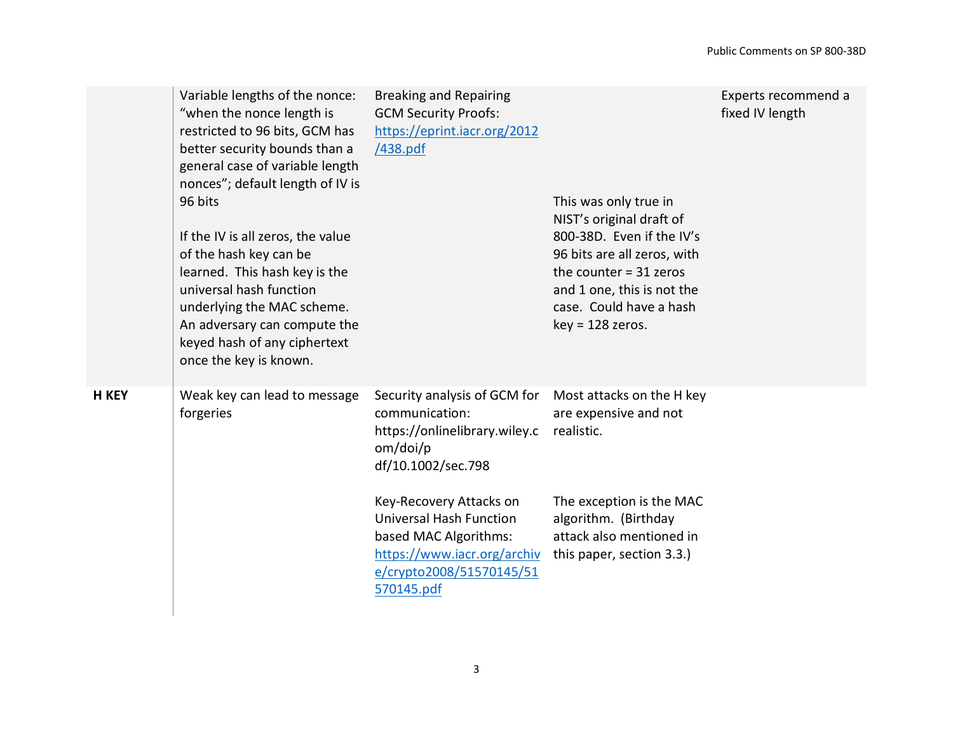|              | Variable lengths of the nonce:<br>"when the nonce length is<br>restricted to 96 bits, GCM has<br>better security bounds than a<br>general case of variable length<br>nonces"; default length of IV is<br>96 bits<br>If the IV is all zeros, the value<br>of the hash key can be<br>learned. This hash key is the<br>universal hash function<br>underlying the MAC scheme.<br>An adversary can compute the<br>keyed hash of any ciphertext<br>once the key is known. | <b>Breaking and Repairing</b><br><b>GCM Security Proofs:</b><br>https://eprint.iacr.org/2012<br>/438.pdf                                                                       | This was only true in<br>NIST's original draft of<br>800-38D. Even if the IV's<br>96 bits are all zeros, with<br>the counter $=$ 31 zeros<br>and 1 one, this is not the<br>case. Could have a hash<br>$key = 128$ zeros. | Experts recommend a<br>fixed IV length |
|--------------|---------------------------------------------------------------------------------------------------------------------------------------------------------------------------------------------------------------------------------------------------------------------------------------------------------------------------------------------------------------------------------------------------------------------------------------------------------------------|--------------------------------------------------------------------------------------------------------------------------------------------------------------------------------|--------------------------------------------------------------------------------------------------------------------------------------------------------------------------------------------------------------------------|----------------------------------------|
| <b>H KEY</b> | Weak key can lead to message<br>forgeries                                                                                                                                                                                                                                                                                                                                                                                                                           | Security analysis of GCM for<br>communication:<br>https://onlinelibrary.wiley.c<br>om/doi/p<br>df/10.1002/sec.798<br>Key-Recovery Attacks on<br><b>Universal Hash Function</b> | Most attacks on the H key<br>are expensive and not<br>realistic.<br>The exception is the MAC<br>algorithm. (Birthday                                                                                                     |                                        |
|              |                                                                                                                                                                                                                                                                                                                                                                                                                                                                     | based MAC Algorithms:<br>https://www.iacr.org/archiv<br>e/crypto2008/51570145/51<br>570145.pdf                                                                                 | attack also mentioned in<br>this paper, section 3.3.)                                                                                                                                                                    |                                        |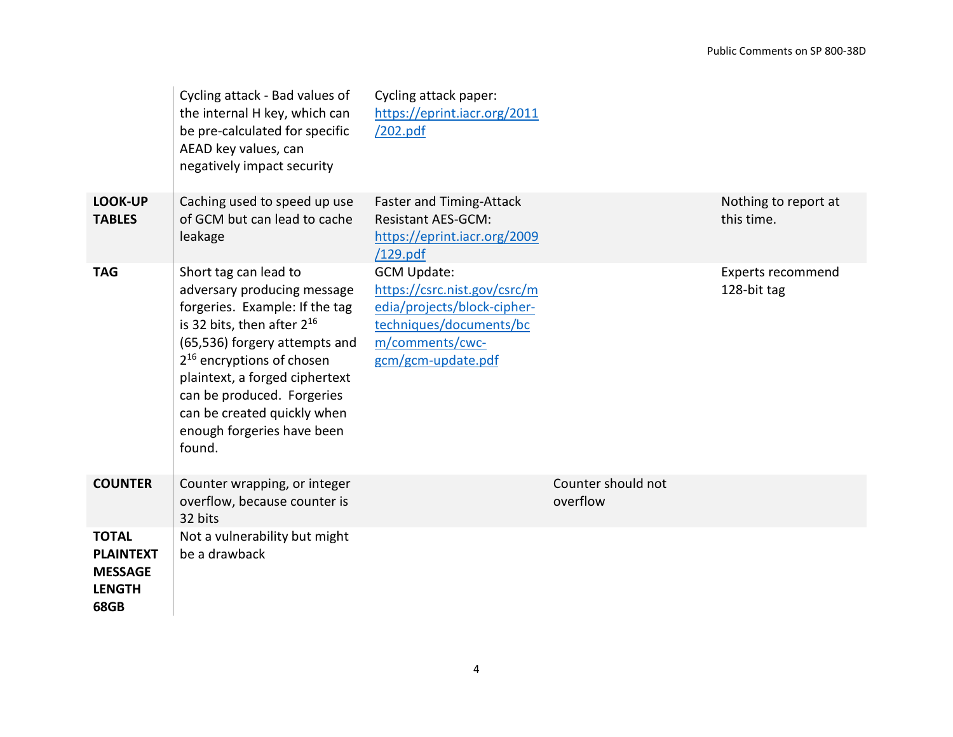|                                                                             | Cycling attack - Bad values of<br>the internal H key, which can<br>be pre-calculated for specific<br>AEAD key values, can<br>negatively impact security                                                                                                                                                                                    | Cycling attack paper:<br>https://eprint.iacr.org/2011<br>/202.pdf                                                                                     |                                |                                         |
|-----------------------------------------------------------------------------|--------------------------------------------------------------------------------------------------------------------------------------------------------------------------------------------------------------------------------------------------------------------------------------------------------------------------------------------|-------------------------------------------------------------------------------------------------------------------------------------------------------|--------------------------------|-----------------------------------------|
| <b>LOOK-UP</b><br><b>TABLES</b>                                             | Caching used to speed up use<br>of GCM but can lead to cache<br>leakage                                                                                                                                                                                                                                                                    | <b>Faster and Timing-Attack</b><br><b>Resistant AES-GCM:</b><br>https://eprint.iacr.org/2009<br>/129.pdf                                              |                                | Nothing to report at<br>this time.      |
| <b>TAG</b>                                                                  | Short tag can lead to<br>adversary producing message<br>forgeries. Example: If the tag<br>is 32 bits, then after $2^{16}$<br>(65,536) forgery attempts and<br>2 <sup>16</sup> encryptions of chosen<br>plaintext, a forged ciphertext<br>can be produced. Forgeries<br>can be created quickly when<br>enough forgeries have been<br>found. | <b>GCM Update:</b><br>https://csrc.nist.gov/csrc/m<br>edia/projects/block-cipher-<br>techniques/documents/bc<br>m/comments/cwc-<br>gcm/gcm-update.pdf |                                | <b>Experts recommend</b><br>128-bit tag |
| <b>COUNTER</b>                                                              | Counter wrapping, or integer<br>overflow, because counter is<br>32 bits                                                                                                                                                                                                                                                                    |                                                                                                                                                       | Counter should not<br>overflow |                                         |
| <b>TOTAL</b><br><b>PLAINTEXT</b><br><b>MESSAGE</b><br><b>LENGTH</b><br>68GB | Not a vulnerability but might<br>be a drawback                                                                                                                                                                                                                                                                                             |                                                                                                                                                       |                                |                                         |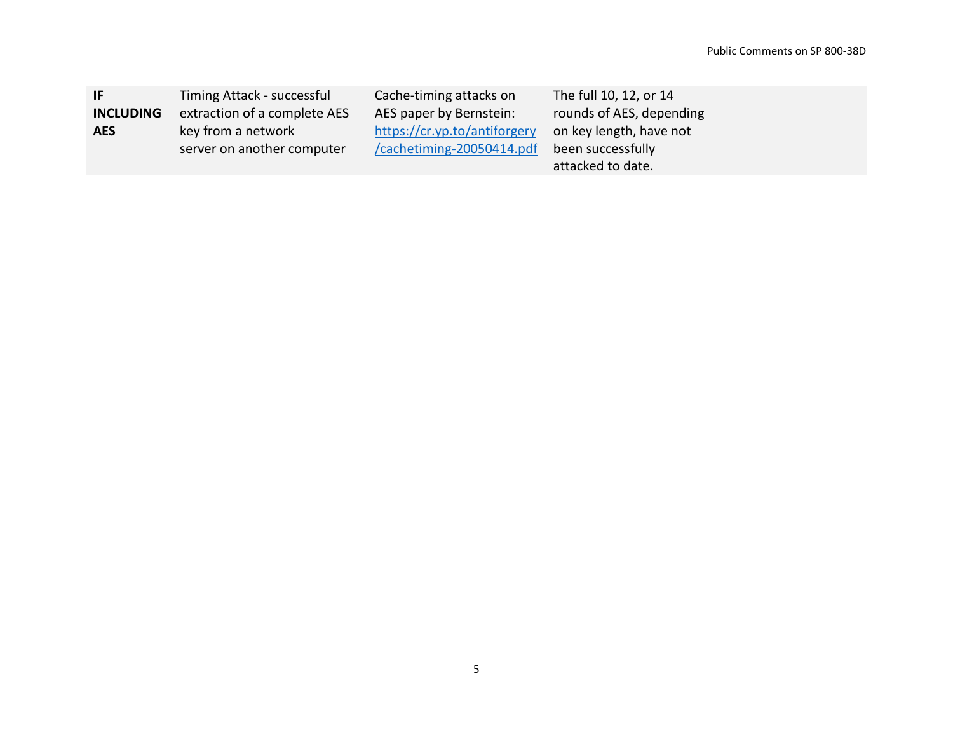| -IF              | Timing Attack - successful   | Cache-timing attacks on      | The full 10, 12, or 14   |
|------------------|------------------------------|------------------------------|--------------------------|
| <b>INCLUDING</b> | extraction of a complete AES | AES paper by Bernstein:      | rounds of AES, depending |
| <b>AES</b>       | key from a network           | https://cr.yp.to/antiforgery | on key length, have not  |
|                  | server on another computer   | /cachetiming-20050414.pdf    | been successfully        |
|                  |                              |                              | attacked to date.        |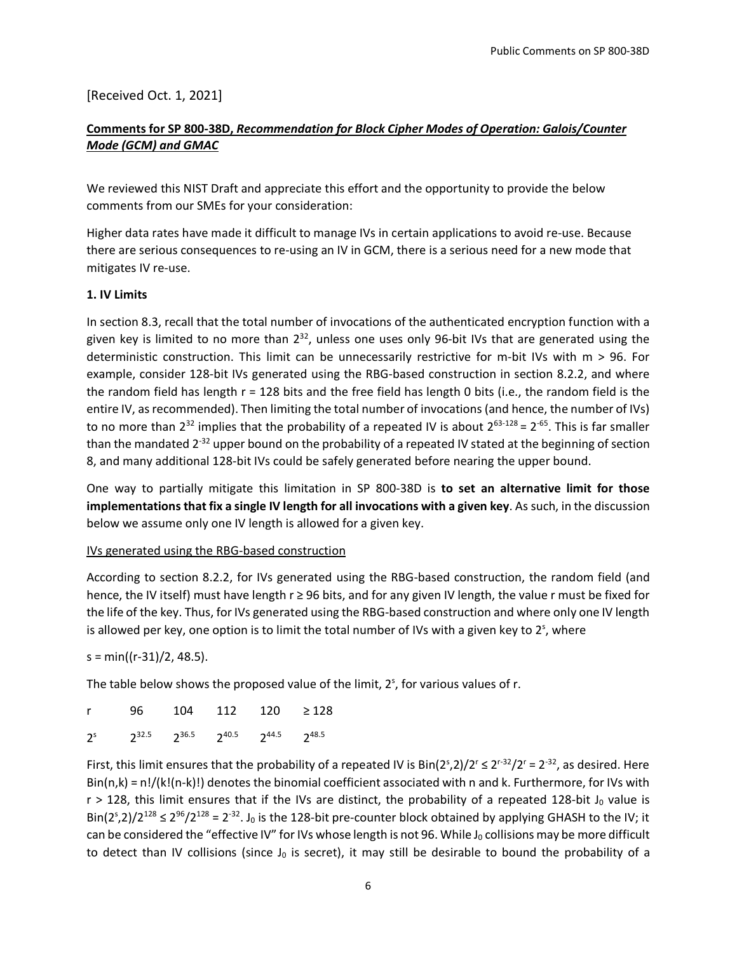[Received Oct. 1, 2021]

## **Comments for SP 800-38D,** *Recommendation for Block Cipher Modes of Operation: Galois/Counter Mode (GCM) and GMAC*

We reviewed this NIST Draft and appreciate this effort and the opportunity to provide the below comments from our SMEs for your consideration:

Higher data rates have made it difficult to manage IVs in certain applications to avoid re-use. Because there are serious consequences to re-using an IV in GCM, there is a serious need for a new mode that mitigates IV re-use.

#### **1. IV Limits**

In section 8.3, recall that the total number of invocations of the authenticated encryption function with a given key is limited to no more than  $2^{32}$ , unless one uses only 96-bit IVs that are generated using the deterministic construction. This limit can be unnecessarily restrictive for m-bit IVs with m > 96. For example, consider 128-bit IVs generated using the RBG-based construction in section 8.2.2, and where the random field has length r = 128 bits and the free field has length 0 bits (i.e., the random field is the entire IV, as recommended). Then limiting the total number of invocations (and hence, the number of IVs) to no more than  $2^{32}$  implies that the probability of a repeated IV is about  $2^{63-128}$  =  $2^{-65}$ . This is far smaller than the mandated 2<sup>-32</sup> upper bound on the probability of a repeated IV stated at the beginning of section 8, and many additional 128-bit IVs could be safely generated before nearing the upper bound.

One way to partially mitigate this limitation in SP 800-38D is **to set an alternative limit for those implementations that fix a single IV length for all invocations with a given key**. As such, in the discussion below we assume only one IV length is allowed for a given key.

#### IVs generated using the RBG-based construction

According to section 8.2.2, for IVs generated using the RBG-based construction, the random field (and hence, the IV itself) must have length r ≥ 96 bits, and for any given IV length, the value r must be fixed for the life of the key. Thus, for IVs generated using the RBG-based construction and where only one IV length is allowed per key, one option is to limit the total number of IVs with a given key to  $2<sup>s</sup>$ , where

 $s = min((r-31)/2, 48.5).$ 

The table below shows the proposed value of the limit, 2<sup>s</sup>, for various values of r.

|  | r 96 104 112 120 ≥128                                        |  |
|--|--------------------------------------------------------------|--|
|  | $2^s$ $2^{32.5}$ $2^{36.5}$ $2^{40.5}$ $2^{44.5}$ $2^{48.5}$ |  |

First, this limit ensures that the probability of a repeated IV is  $Bin(2^s, 2)/2^r \le 2^{r-32}/2^r = 2^{-32}$ , as desired. Here  $Bin(n,k) = n!/(k!(n-k)!)$  denotes the binomial coefficient associated with n and k. Furthermore, for IVs with  $r > 128$ , this limit ensures that if the IVs are distinct, the probability of a repeated 128-bit J<sub>0</sub> value is Bin( $2^s$ ,2)/ $2^{128}$   $\leq$   $2^{96}/2^{128}$  =  $2^{32}$ . J<sub>0</sub> is the 128-bit pre-counter block obtained by applying GHASH to the IV; it can be considered the "effective IV" for IVs whose length is not 96. While  $J_0$  collisions may be more difficult to detect than IV collisions (since  $J_0$  is secret), it may still be desirable to bound the probability of a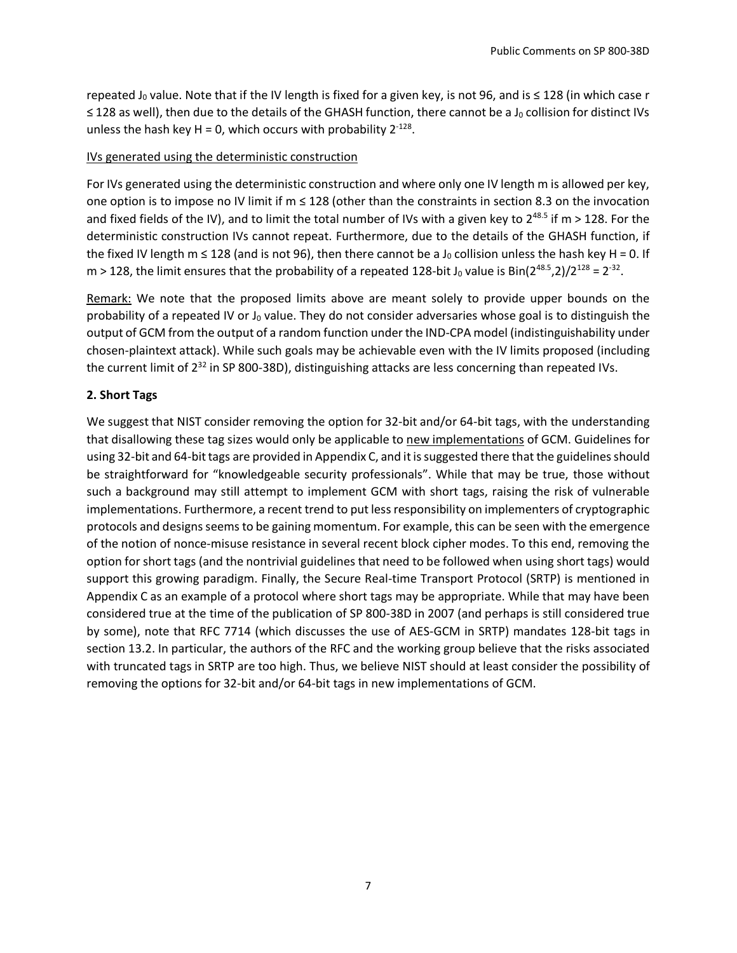repeated J<sub>0</sub> value. Note that if the IV length is fixed for a given key, is not 96, and is  $\leq$  128 (in which case r ≤ 128 as well), then due to the details of the GHASH function, there cannot be a J<sub>0</sub> collision for distinct IVs unless the hash key H = 0, which occurs with probability  $2^{-128}$ .

#### IVs generated using the deterministic construction

For IVs generated using the deterministic construction and where only one IV length m is allowed per key, one option is to impose no IV limit if m ≤ 128 (other than the constraints in section 8.3 on the invocation and fixed fields of the IV), and to limit the total number of IVs with a given key to  $2^{48.5}$  if m > 128. For the deterministic construction IVs cannot repeat. Furthermore, due to the details of the GHASH function, if the fixed IV length m  $\leq$  128 (and is not 96), then there cannot be a J<sub>0</sub> collision unless the hash key H = 0. If m > 128, the limit ensures that the probability of a repeated 128-bit J<sub>0</sub> value is Bin(2<sup>48.5</sup>,2)/2<sup>128</sup> = 2<sup>-32</sup>.

Remark: We note that the proposed limits above are meant solely to provide upper bounds on the probability of a repeated IV or  $J_0$  value. They do not consider adversaries whose goal is to distinguish the output of GCM from the output of a random function under the IND-CPA model (indistinguishability under chosen-plaintext attack). While such goals may be achievable even with the IV limits proposed (including the current limit of 2<sup>32</sup> in SP 800-38D), distinguishing attacks are less concerning than repeated IVs.

#### **2. Short Tags**

We suggest that NIST consider removing the option for 32-bit and/or 64-bit tags, with the understanding that disallowing these tag sizes would only be applicable to new implementations of GCM. Guidelines for using 32-bit and 64-bit tags are provided in Appendix C, and it is suggested there that the guidelines should be straightforward for "knowledgeable security professionals". While that may be true, those without such a background may still attempt to implement GCM with short tags, raising the risk of vulnerable implementations. Furthermore, a recent trend to put less responsibility on implementers of cryptographic protocols and designs seems to be gaining momentum. For example, this can be seen with the emergence of the notion of nonce-misuse resistance in several recent block cipher modes. To this end, removing the option for short tags (and the nontrivial guidelines that need to be followed when using short tags) would support this growing paradigm. Finally, the Secure Real-time Transport Protocol (SRTP) is mentioned in Appendix C as an example of a protocol where short tags may be appropriate. While that may have been considered true at the time of the publication of SP 800-38D in 2007 (and perhaps is still considered true by some), note that RFC 7714 (which discusses the use of AES-GCM in SRTP) mandates 128-bit tags in section 13.2. In particular, the authors of the RFC and the working group believe that the risks associated with truncated tags in SRTP are too high. Thus, we believe NIST should at least consider the possibility of removing the options for 32-bit and/or 64-bit tags in new implementations of GCM.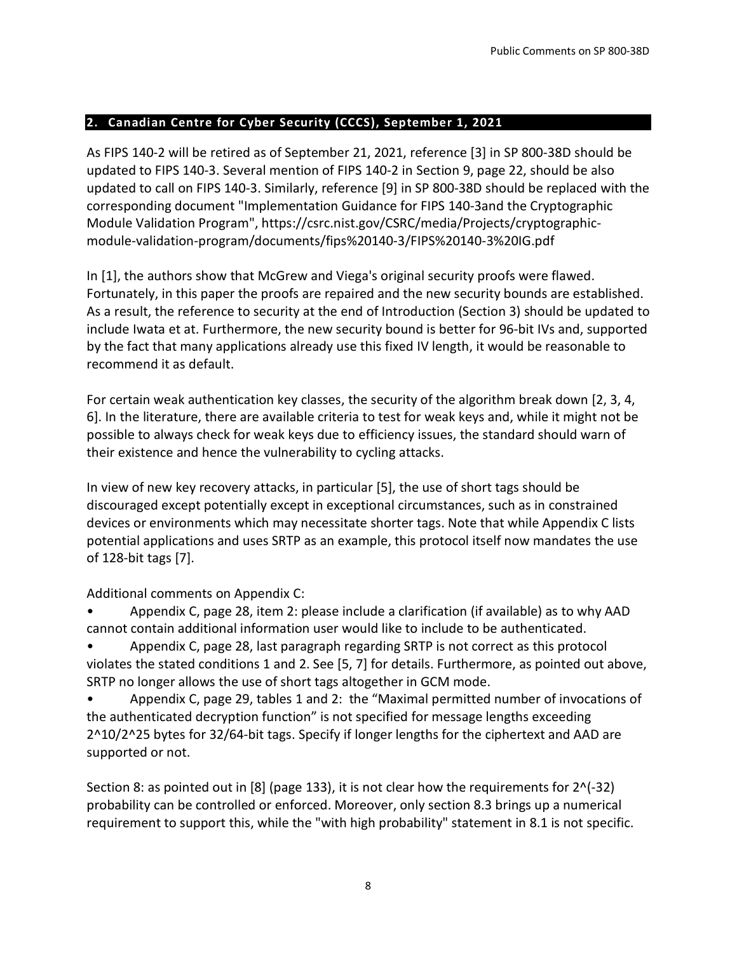## <span id="page-7-0"></span>**2. Canadian Centre for Cyber Security (CCCS), September 1, 2021**

As FIPS 140-2 will be retired as of September 21, 2021, reference [3] in SP 800-38D should be updated to FIPS 140-3. Several mention of FIPS 140-2 in Section 9, page 22, should be also updated to call on FIPS 140-3. Similarly, reference [9] in SP 800-38D should be replaced with the corresponding document "Implementation Guidance for FIPS 140-3and the Cryptographic Module Validation Program", https://csrc.nist.gov/CSRC/media/Projects/cryptographicmodule-validation-program/documents/fips%20140-3/FIPS%20140-3%20IG.pdf

In [1], the authors show that McGrew and Viega's original security proofs were flawed. Fortunately, in this paper the proofs are repaired and the new security bounds are established. As a result, the reference to security at the end of Introduction (Section 3) should be updated to include Iwata et at. Furthermore, the new security bound is better for 96-bit IVs and, supported by the fact that many applications already use this fixed IV length, it would be reasonable to recommend it as default.

For certain weak authentication key classes, the security of the algorithm break down [2, 3, 4, 6]. In the literature, there are available criteria to test for weak keys and, while it might not be possible to always check for weak keys due to efficiency issues, the standard should warn of their existence and hence the vulnerability to cycling attacks.

In view of new key recovery attacks, in particular [5], the use of short tags should be discouraged except potentially except in exceptional circumstances, such as in constrained devices or environments which may necessitate shorter tags. Note that while Appendix C lists potential applications and uses SRTP as an example, this protocol itself now mandates the use of 128-bit tags [7].

Additional comments on Appendix C:

• Appendix C, page 28, item 2: please include a clarification (if available) as to why AAD cannot contain additional information user would like to include to be authenticated.

• Appendix C, page 28, last paragraph regarding SRTP is not correct as this protocol violates the stated conditions 1 and 2. See [5, 7] for details. Furthermore, as pointed out above, SRTP no longer allows the use of short tags altogether in GCM mode.

• Appendix C, page 29, tables 1 and 2: the "Maximal permitted number of invocations of the authenticated decryption function" is not specified for message lengths exceeding 2^10/2^25 bytes for 32/64-bit tags. Specify if longer lengths for the ciphertext and AAD are supported or not.

Section 8: as pointed out in [8] (page 133), it is not clear how the requirements for 2^(-32) probability can be controlled or enforced. Moreover, only section 8.3 brings up a numerical requirement to support this, while the "with high probability" statement in 8.1 is not specific.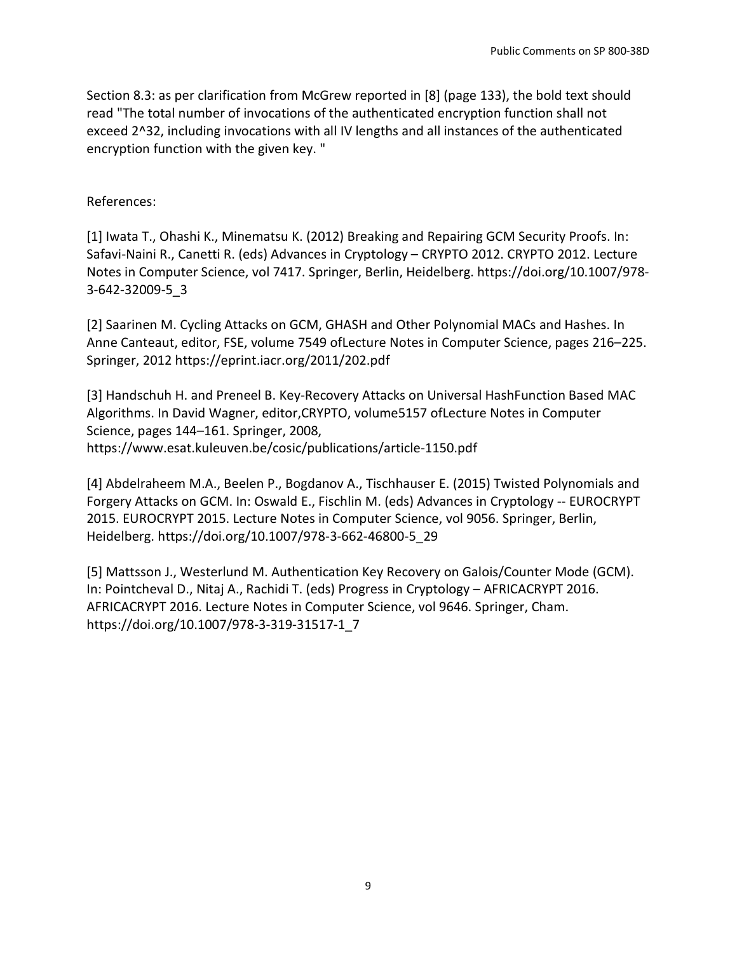Section 8.3: as per clarification from McGrew reported in [8] (page 133), the bold text should read "The total number of invocations of the authenticated encryption function shall not exceed 2^32, including invocations with all IV lengths and all instances of the authenticated encryption function with the given key. "

### References:

[1] Iwata T., Ohashi K., Minematsu K. (2012) Breaking and Repairing GCM Security Proofs. In: Safavi-Naini R., Canetti R. (eds) Advances in Cryptology – CRYPTO 2012. CRYPTO 2012. Lecture Notes in Computer Science, vol 7417. Springer, Berlin, Heidelberg. https://doi.org/10.1007/978- 3-642-32009-5\_3

[2] Saarinen M. Cycling Attacks on GCM, GHASH and Other Polynomial MACs and Hashes. In Anne Canteaut, editor, FSE, volume 7549 ofLecture Notes in Computer Science, pages 216–225. Springer, 2012 https://eprint.iacr.org/2011/202.pdf

[3] Handschuh H. and Preneel B. Key-Recovery Attacks on Universal HashFunction Based MAC Algorithms. In David Wagner, editor,CRYPTO, volume5157 ofLecture Notes in Computer Science, pages 144–161. Springer, 2008, https://www.esat.kuleuven.be/cosic/publications/article-1150.pdf

[4] Abdelraheem M.A., Beelen P., Bogdanov A., Tischhauser E. (2015) Twisted Polynomials and Forgery Attacks on GCM. In: Oswald E., Fischlin M. (eds) Advances in Cryptology -- EUROCRYPT 2015. EUROCRYPT 2015. Lecture Notes in Computer Science, vol 9056. Springer, Berlin, Heidelberg. https://doi.org/10.1007/978-3-662-46800-5\_29

[5] Mattsson J., Westerlund M. Authentication Key Recovery on Galois/Counter Mode (GCM). In: Pointcheval D., Nitaj A., Rachidi T. (eds) Progress in Cryptology – AFRICACRYPT 2016. AFRICACRYPT 2016. Lecture Notes in Computer Science, vol 9646. Springer, Cham. https://doi.org/10.1007/978-3-319-31517-1\_7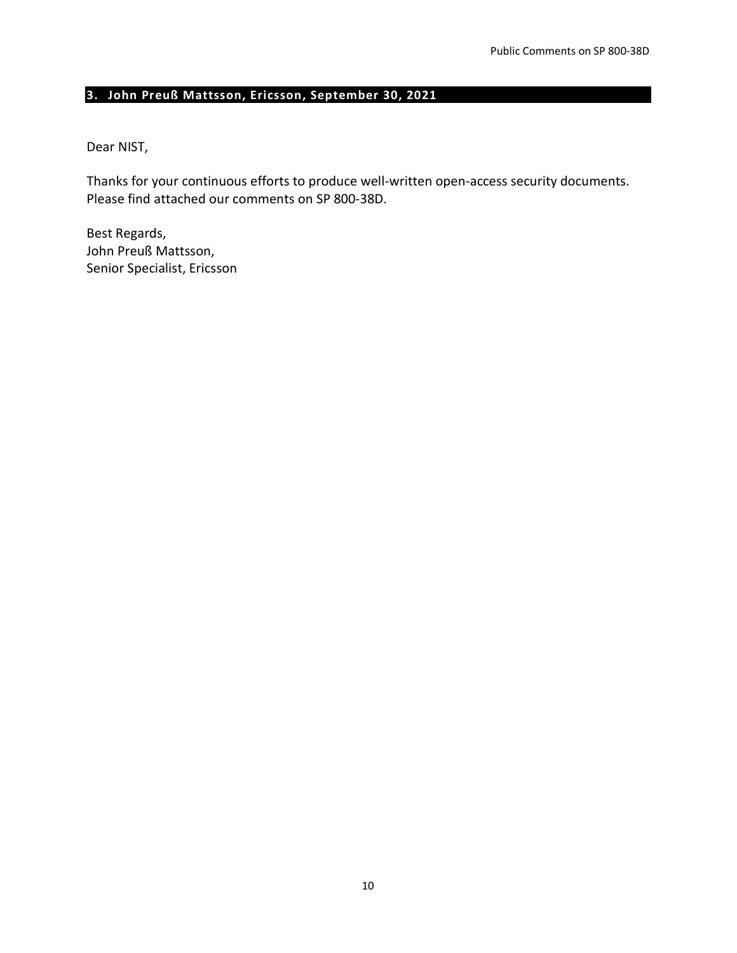# <span id="page-9-0"></span>**3. John Preuß Mattsson, Ericsson, September 30, 2021**

#### Dear NIST,

Thanks for your continuous efforts to produce well-written open-access security documents. Please find attached our comments on SP 800-38D.

Best Regards, John Preuß Mattsson, Senior Specialist, Ericsson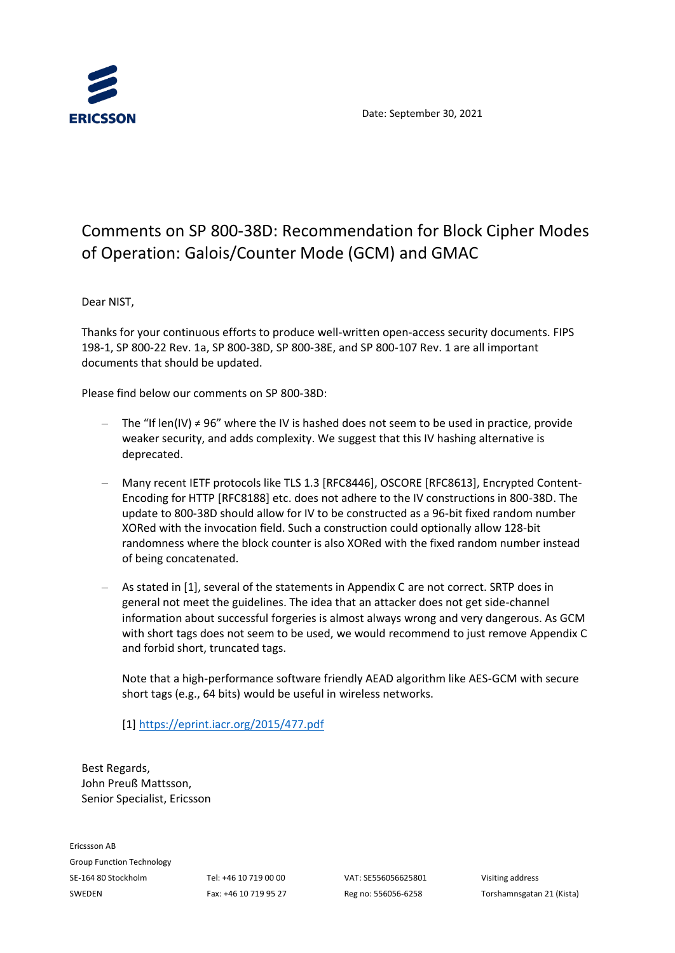



# Comments on SP 800-38D: Recommendation for Block Cipher Modes of Operation: Galois/Counter Mode (GCM) and GMAC

Dear NIST,

Thanks for your continuous efforts to produce well-written open-access security documents. FIPS 198-1, SP 800-22 Rev. 1a, SP 800-38D, SP 800-38E, and SP 800-107 Rev. 1 are all important documents that should be updated.

Please find below our comments on SP 800-38D:

- $-$  The "If len(IV) ≠ 96" where the IV is hashed does not seem to be used in practice, provide weaker security, and adds complexity. We suggest that this IV hashing alternative is deprecated.
- Many recent IETF protocols like TLS 1.3 [RFC8446], OSCORE [RFC8613], Encrypted Content-Encoding for HTTP [RFC8188] etc. does not adhere to the IV constructions in 800-38D. The update to 800-38D should allow for IV to be constructed as a 96-bit fixed random number XORed with the invocation field. Such a construction could optionally allow 128-bit randomness where the block counter is also XORed with the fixed random number instead of being concatenated.
- As stated in [1], several of the statements in Appendix C are not correct. SRTP does in general not meet the guidelines. The idea that an attacker does not get side-channel information about successful forgeries is almost always wrong and very dangerous. As GCM with short tags does not seem to be used, we would recommend to just remove Appendix C and forbid short, truncated tags.

Note that a high-performance software friendly AEAD algorithm like AES-GCM with secure short tags (e.g., 64 bits) would be useful in wireless networks.

[1[\] https://eprint.iacr.org/2015/477.pdf](https://eprint.iacr.org/2015/477.pdf)

Best Regards, John Preuß Mattsson, Senior Specialist, Ericsson